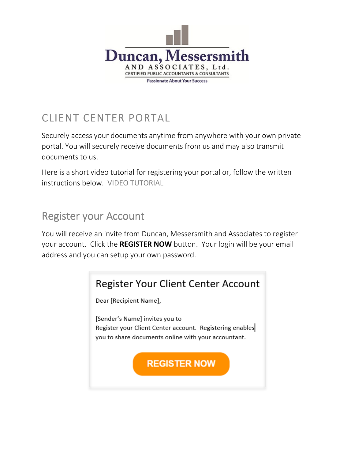

# CLIENT CENTER PORTAL

Securely access your documents anytime from anywhere with your own private portal. You will securely receive documents from us and may also transmit documents to us.

Here is a short video tutorial for registering your portal or, follow the written instructions below. [VIDEO TUTORIAL](https://onvio.us/ua/help/us-en/client/core/common/video-register-and-access-v2-client-portal.htm)

#### **Register your Account**

You will receive an invite from Duncan, Messersmith and Associates to register your account. Click the REGISTER NOW button. Your login will be your email address and you can setup your own password.

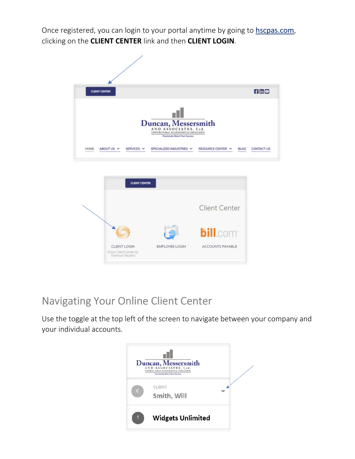Once registered, you can login to your portal anytime by going to [hscpas.com](https://www.hscpas.com/), clicking on the CLIENT CENTER link and then CLIENT LOGIN.





# Navigating Your Online Client Center

Use the toggle at the top left of the screen to navigate between your company and your individual accounts.

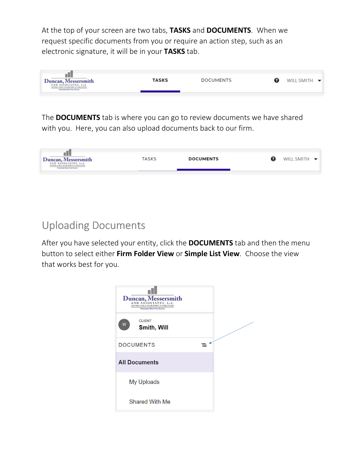At the top of your screen are two tabs, TASKS and DOCUMENTS. When we request specific documents from you or require an action step, such as an electronic signature, it will be in your TASKS tab.



The **DOCUMENTS** tab is where you can go to review documents we have shared with you. Here, you can also upload documents back to our firm.



## **Uploading Documents**

After you have selected your entity, click the **DOCUMENTS** tab and then the menu button to select either Firm Folder View or Simple List View. Choose the view that works best for you.

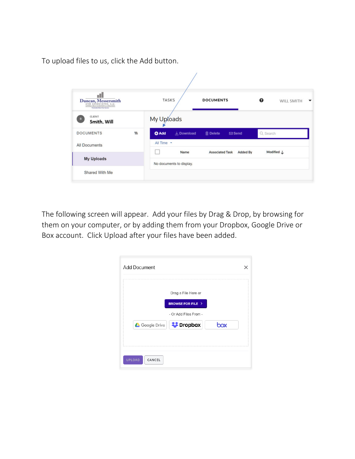To upload files to us, click the Add button.

| ulli<br>Duncan, Messersmith<br>AND ASSOCIATES, Ltd.<br>CERTIFIED PUBLIC ACCOUNTABITS & CONSULTANTS<br><b>Festivale Mout Your Security</b> |          | <b>TASKS</b>                      | <b>DOCUMENTS</b>                          | ℯ          | <b>WILL SMITH</b> |
|-------------------------------------------------------------------------------------------------------------------------------------------|----------|-----------------------------------|-------------------------------------------|------------|-------------------|
| <b>CLIENT</b><br>в<br>Smith, Will                                                                                                         |          | My Uploads                        |                                           |            |                   |
| <b>DOCUMENTS</b>                                                                                                                          | $\equiv$ | <b>O</b> Add<br><b>↓</b> Download | <b>m</b><br>Delete<br>$\boxdot$ Send      | Q Search   |                   |
| <b>All Documents</b>                                                                                                                      |          | All Time +                        |                                           |            |                   |
|                                                                                                                                           |          | Name                              | <b>Associated Task</b><br><b>Added By</b> | Modified J |                   |
| <b>My Uploads</b>                                                                                                                         |          | No documents to display.          |                                           |            |                   |

The following screen will appear. Add your files by Drag & Drop, by browsing for them on your computer, or by adding them from your Dropbox, Google Drive or Box account. Click Upload after your files have been added.

| Drag a File Here or                 |     |
|-------------------------------------|-----|
| <b>BROWSE FOR FILE &gt;</b>         |     |
| - Or Add Files From -               |     |
| Google Drive <b>Example Dropbox</b> | box |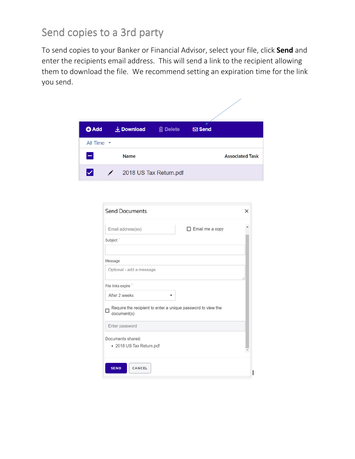#### Send copies to a 3rd party

To send copies to your Banker or Financial Advisor, select your file, click Send and enter the recipients email address. This will send a link to the recipient allowing them to download the file. We recommend setting an expiration time for the link you send.



| <b>Send Documents</b>                                                            | $\times$ |
|----------------------------------------------------------------------------------|----------|
| $\Box$ Email me a copy<br>Email address(es)                                      |          |
| Subject <sup>*</sup>                                                             |          |
| Message                                                                          |          |
| Optional - add a message                                                         |          |
| File links expire"                                                               | 6        |
| After 2 weeks                                                                    |          |
| Require the recipient to enter a unique password to view the<br>П<br>document(s) |          |
| Enter password                                                                   |          |
| Documents shared:<br>• 2018 US Tax Return.pdf                                    |          |
| CANCEL<br><b>SEND</b>                                                            |          |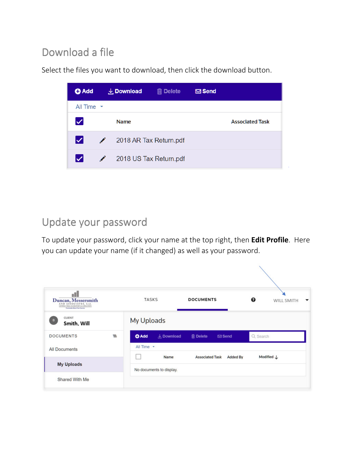# Download a file

Select the files you want to download, then click the download button.



## Update your password

To update your password, click your name at the top right, then Edit Profile. Here you can update your name (if it changed) as well as your password.